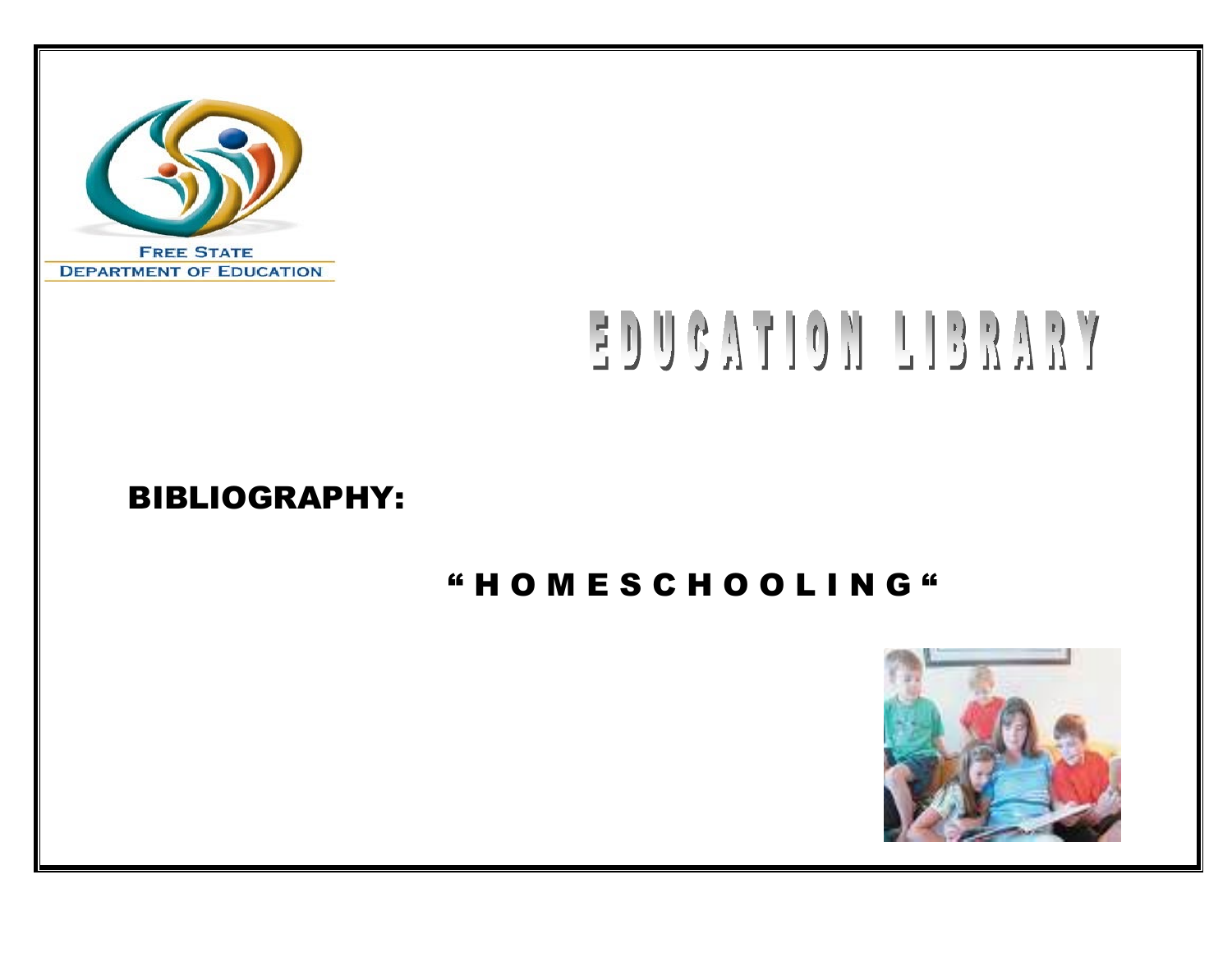

# EDUCATION LIBRARY

## BIBLIOGRAPHY:

## " H O M E S C H O O L I N G "

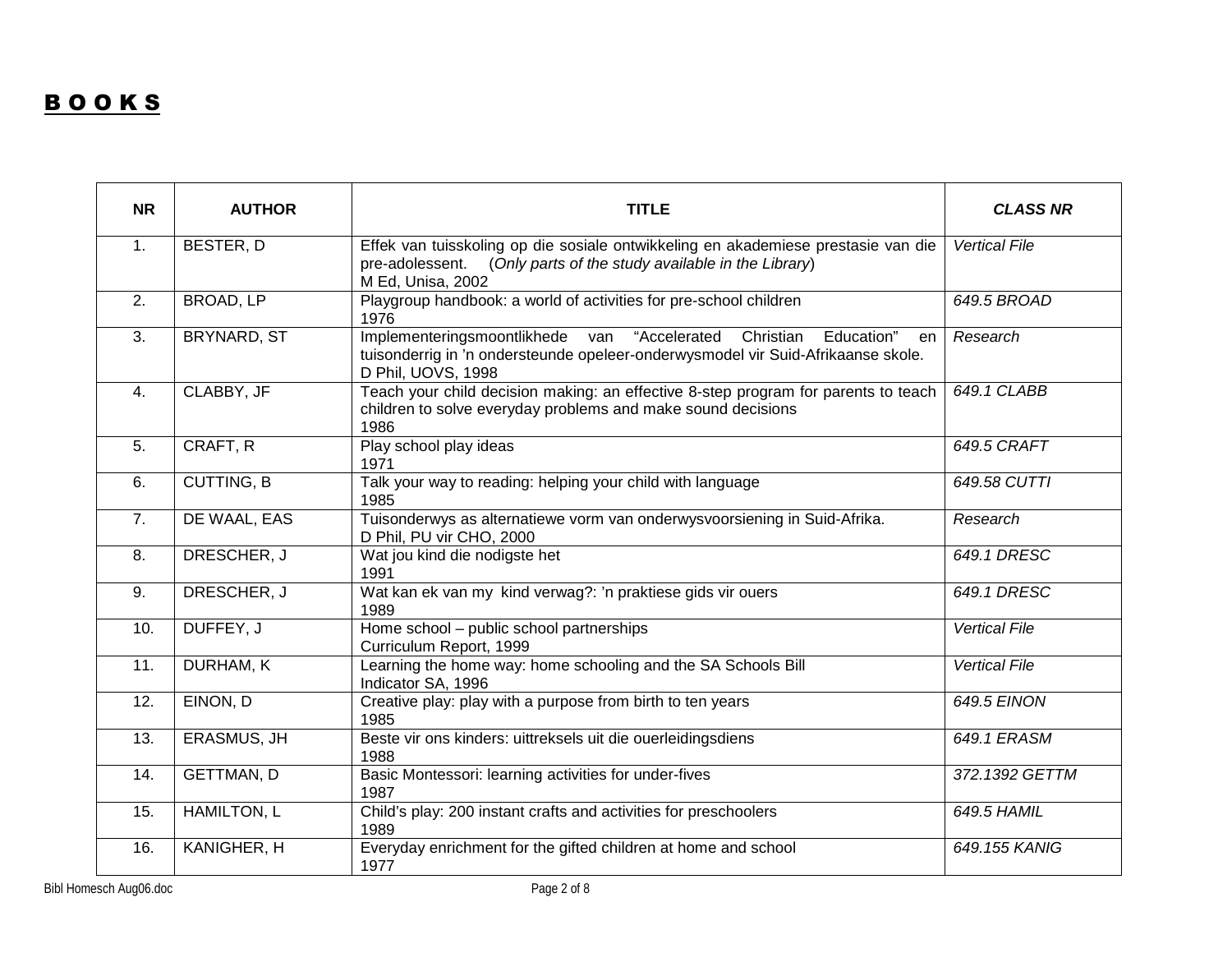### **BOOKS**

| <b>NR</b>        | <b>AUTHOR</b>      | <b>TITLE</b>                                                                                                                                                                               | <b>CLASS NR</b>      |
|------------------|--------------------|--------------------------------------------------------------------------------------------------------------------------------------------------------------------------------------------|----------------------|
| 1.               | <b>BESTER, D</b>   | Effek van tuisskoling op die sosiale ontwikkeling en akademiese prestasie van die<br>(Only parts of the study available in the Library)<br>pre-adolessent.<br>M Ed, Unisa, 2002            | <b>Vertical File</b> |
| 2.               | <b>BROAD, LP</b>   | Playgroup handbook: a world of activities for pre-school children<br>1976                                                                                                                  | 649.5 BROAD          |
| $\overline{3}$ . | <b>BRYNARD, ST</b> | Implementeringsmoontlikhede van<br>"Accelerated<br>Christian<br>Education"<br>en<br>tuisonderrig in 'n ondersteunde opeleer-onderwysmodel vir Suid-Afrikaanse skole.<br>D Phil, UOVS, 1998 | Research             |
| 4.               | CLABBY, JF         | Teach your child decision making: an effective 8-step program for parents to teach<br>children to solve everyday problems and make sound decisions<br>1986                                 | 649.1 CLABB          |
| 5.               | CRAFT, R           | Play school play ideas<br>1971                                                                                                                                                             | 649.5 CRAFT          |
| 6.               | <b>CUTTING, B</b>  | Talk your way to reading: helping your child with language<br>1985                                                                                                                         | 649.58 CUTTI         |
| 7.               | DE WAAL, EAS       | Tuisonderwys as alternatiewe vorm van onderwysvoorsiening in Suid-Afrika.<br>D Phil, PU vir CHO, 2000                                                                                      | Research             |
| 8.               | DRESCHER, J        | Wat jou kind die nodigste het<br>1991                                                                                                                                                      | 649.1 DRESC          |
| 9.               | DRESCHER, J        | Wat kan ek van my kind verwag?: 'n praktiese gids vir ouers<br>1989                                                                                                                        | 649.1 DRESC          |
| 10.              | DUFFEY, J          | Home school - public school partnerships<br>Curriculum Report, 1999                                                                                                                        | <b>Vertical File</b> |
| 11.              | <b>DURHAM, K</b>   | Learning the home way: home schooling and the SA Schools Bill<br>Indicator SA, 1996                                                                                                        | <b>Vertical File</b> |
| 12.              | EINON, D           | Creative play: play with a purpose from birth to ten years<br>1985                                                                                                                         | <b>649.5 EINON</b>   |
| 13.              | <b>ERASMUS, JH</b> | Beste vir ons kinders: uittreksels uit die ouerleidingsdiens<br>1988                                                                                                                       | 649.1 ERASM          |
| 14.              | <b>GETTMAN, D</b>  | Basic Montessori: learning activities for under-fives<br>1987                                                                                                                              | 372.1392 GETTM       |
| 15.              | <b>HAMILTON, L</b> | Child's play: 200 instant crafts and activities for preschoolers<br>1989                                                                                                                   | 649.5 HAMIL          |
| 16.              | KANIGHER, H        | Everyday enrichment for the gifted children at home and school<br>1977                                                                                                                     | 649.155 KANIG        |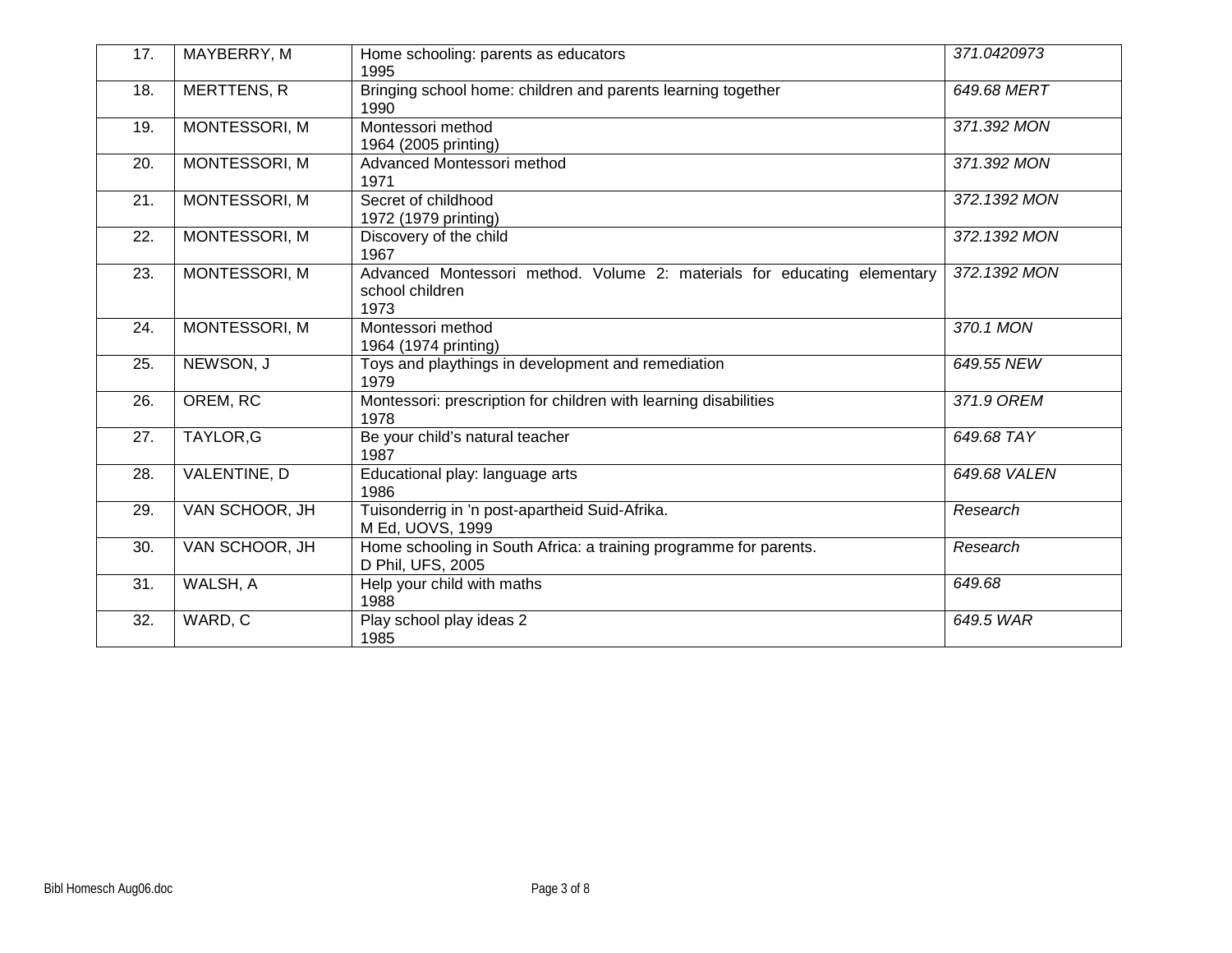| 17. | MAYBERRY, M          | Home schooling: parents as educators<br>1995                                                        | 371.0420973  |
|-----|----------------------|-----------------------------------------------------------------------------------------------------|--------------|
| 18. | <b>MERTTENS, R</b>   | Bringing school home: children and parents learning together<br>1990                                | 649.68 MERT  |
| 19. | MONTESSORI, M        | Montessori method<br>1964 (2005 printing)                                                           | 371.392 MON  |
| 20. | MONTESSORI, M        | Advanced Montessori method<br>1971                                                                  | 371.392 MON  |
| 21. | <b>MONTESSORI, M</b> | Secret of childhood<br>1972 (1979 printing)                                                         | 372.1392 MON |
| 22. | MONTESSORI, M        | Discovery of the child<br>1967                                                                      | 372.1392 MON |
| 23. | MONTESSORI, M        | Advanced Montessori method. Volume 2: materials for educating elementary<br>school children<br>1973 | 372.1392 MON |
| 24. | MONTESSORI, M        | Montessori method<br>1964 (1974 printing)                                                           | 370.1 MON    |
| 25. | NEWSON, J            | Toys and playthings in development and remediation<br>1979                                          | 649.55 NEW   |
| 26. | OREM, RC             | Montessori: prescription for children with learning disabilities<br>1978                            | 371.9 OREM   |
| 27. | TAYLOR, G            | Be your child's natural teacher<br>1987                                                             | 649.68 TAY   |
| 28. | VALENTINE, D         | Educational play: language arts<br>1986                                                             | 649.68 VALEN |
| 29. | VAN SCHOOR, JH       | Tuisonderrig in 'n post-apartheid Suid-Afrika.<br>M Ed, UOVS, 1999                                  | Research     |
| 30. | VAN SCHOOR, JH       | Home schooling in South Africa: a training programme for parents.<br>D Phil, UFS, 2005              | Research     |
| 31. | WALSH, A             | Help your child with maths<br>1988                                                                  | 649.68       |
| 32. | WARD, C              | Play school play ideas 2<br>1985                                                                    | 649.5 WAR    |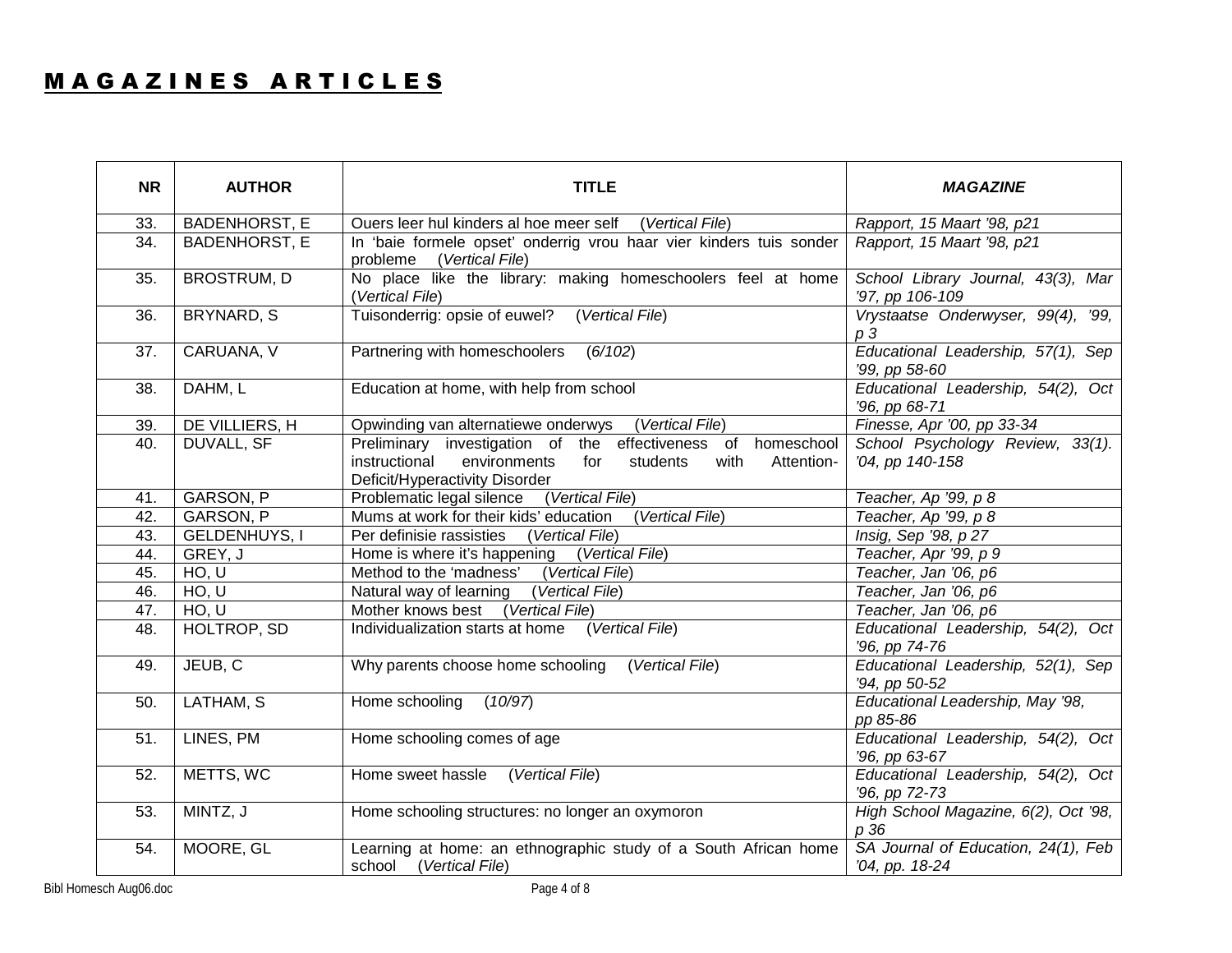#### MAGAZINES ARTICLES

| <b>NR</b>         | <b>AUTHOR</b>        | <b>TITLE</b>                                                                                                                                                             | <b>MAGAZINE</b>                                       |
|-------------------|----------------------|--------------------------------------------------------------------------------------------------------------------------------------------------------------------------|-------------------------------------------------------|
| 33.               | <b>BADENHORST, E</b> | Ouers leer hul kinders al hoe meer self (Vertical File)                                                                                                                  | Rapport, 15 Maart '98, p21                            |
| $\overline{34}$ . | <b>BADENHORST, E</b> | In 'baie formele opset' onderrig vrou haar vier kinders tuis sonder<br>probleme<br>(Vertical File)                                                                       | Rapport, 15 Maart '98, p21                            |
| 35.               | <b>BROSTRUM, D</b>   | No place like the library: making homeschoolers feel at home<br>(Vertical File)                                                                                          | School Library Journal, 43(3), Mar<br>'97, pp 106-109 |
| 36.               | BRYNARD, S           | Tuisonderrig: opsie of euwel?<br>(Vertical File)                                                                                                                         | Vrystaatse Onderwyser, 99(4), '99,<br>p <sub>3</sub>  |
| 37.               | CARUANA, V           | Partnering with homeschoolers<br>(6/102)                                                                                                                                 | Educational Leadership, 57(1), Sep<br>'99, pp 58-60   |
| 38.               | DAHM, L              | Education at home, with help from school                                                                                                                                 | Educational Leadership, 54(2), Oct<br>'96, pp 68-71   |
| 39.               | DE VILLIERS, H       | Opwinding van alternatiewe onderwys<br>(Vertical File)                                                                                                                   | Finesse, Apr '00, pp 33-34                            |
| 40.               | DUVALL, SF           | Preliminary investigation of the effectiveness of homeschool<br>instructional<br>environments<br>for<br>students<br>with<br>Attention-<br>Deficit/Hyperactivity Disorder | School Psychology Review, 33(1).<br>'04, pp 140-158   |
| 41.               | GARSON, P            | Problematic legal silence<br>(Vertical File)                                                                                                                             | Teacher, Ap '99, p 8                                  |
| 42.               | GARSON, P            | Mums at work for their kids' education<br>(Vertical File)                                                                                                                | Teacher, Ap '99, p 8                                  |
| 43.               | <b>GELDENHUYS, I</b> | Per definisie rassisties<br>(Vertical File)                                                                                                                              | Insig, Sep '98, p 27                                  |
| 44.               | GREY, J              | Home is where it's happening<br>(Vertical File)                                                                                                                          | Teacher, Apr '99, p 9                                 |
| 45.               | HO, U                | Method to the 'madness'<br>(Vertical File)                                                                                                                               | Teacher, Jan '06, p6                                  |
| 46.               | HO, U                | Natural way of learning<br>(Vertical File)                                                                                                                               | Teacher, Jan '06, p6                                  |
| 47.               | HO, U                | Mother knows best<br>(Vertical File)                                                                                                                                     | Teacher, Jan '06, p6                                  |
| 48.               | HOLTROP, SD          | Individualization starts at home (Vertical File)                                                                                                                         | Educational Leadership, 54(2), Oct<br>'96, pp 74-76   |
| 49.               | JEUB, C              | Why parents choose home schooling (Vertical File)                                                                                                                        | Educational Leadership, 52(1), Sep<br>'94, pp 50-52   |
| 50.               | LATHAM, S            | Home schooling<br>(10/97)                                                                                                                                                | Educational Leadership, May '98,<br>pp 85-86          |
| 51.               | LINES, PM            | Home schooling comes of age                                                                                                                                              | Educational Leadership, 54(2), Oct<br>'96, pp 63-67   |
| 52.               | METTS, WC            | Home sweet hassle<br>(Vertical File)                                                                                                                                     | Educational Leadership, 54(2), Oct<br>'96, pp 72-73   |
| 53.               | MINTZ, J             | Home schooling structures: no longer an oxymoron                                                                                                                         | High School Magazine, 6(2), Oct '98,<br>p 36          |
| 54.               | MOORE, GL            | Learning at home: an ethnographic study of a South African home<br>(Vertical File)<br>school                                                                             | SA Journal of Education, 24(1), Feb<br>'04, pp. 18-24 |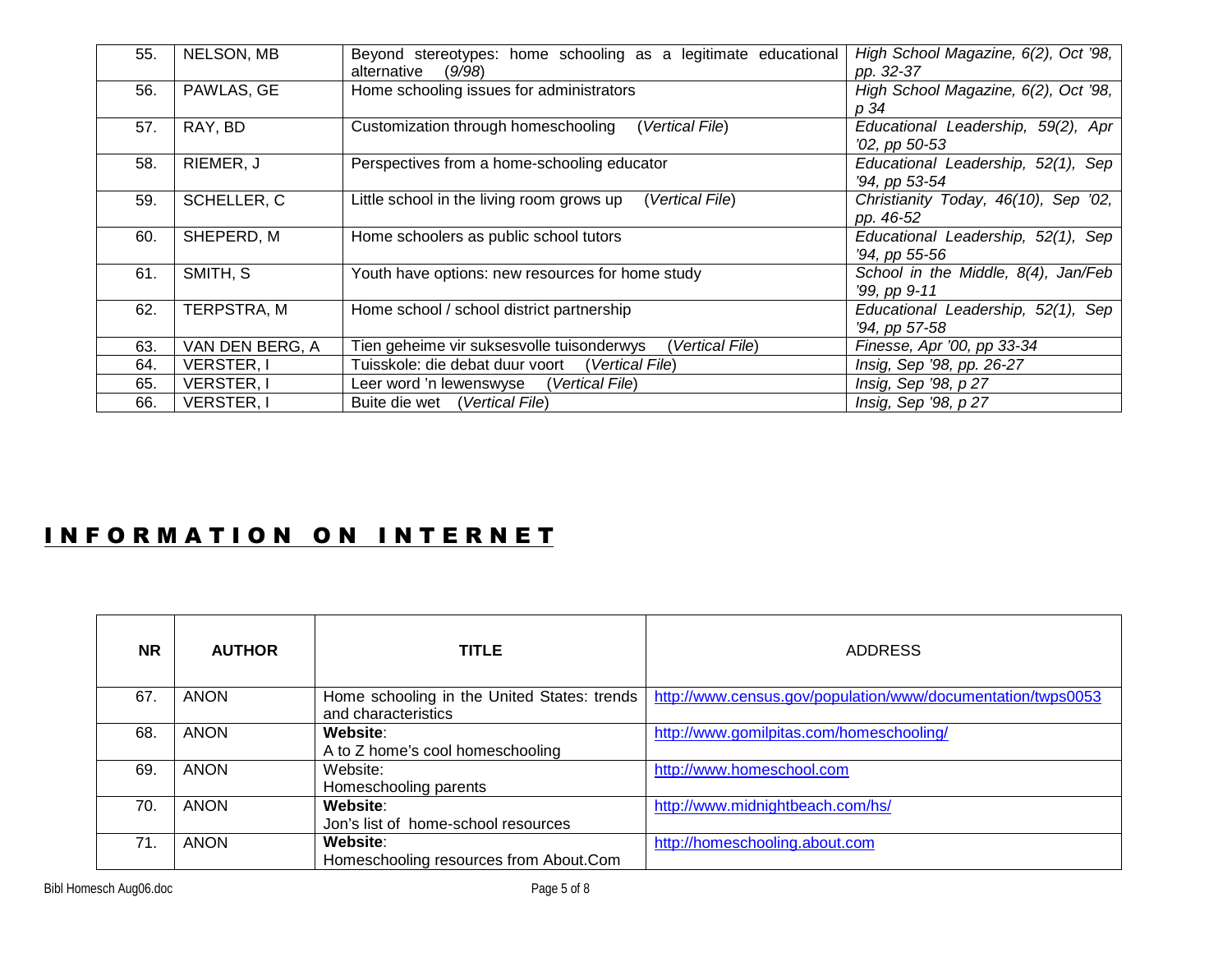| 55. | NELSON, MB        | Beyond stereotypes: home schooling as a legitimate educational<br>alternative<br>(9/98) | High School Magazine, 6(2), Oct '98,<br>pp. 32-37   |
|-----|-------------------|-----------------------------------------------------------------------------------------|-----------------------------------------------------|
| 56. | PAWLAS, GE        | Home schooling issues for administrators                                                | High School Magazine, 6(2), Oct '98,<br>p 34        |
| 57. | RAY, BD           | Customization through homeschooling<br>(Vertical File)                                  | Educational Leadership, 59(2), Apr<br>'02, pp 50-53 |
| 58. | RIEMER, J         | Perspectives from a home-schooling educator                                             | Educational Leadership, 52(1), Sep<br>'94, pp 53-54 |
| 59. | SCHELLER, C       | Little school in the living room grows up<br>(Vertical File)                            | Christianity Today, 46(10), Sep '02,<br>pp. 46-52   |
| 60. | SHEPERD, M        | Home schoolers as public school tutors                                                  | Educational Leadership, 52(1), Sep<br>'94, pp 55-56 |
| 61. | SMITH, S          | Youth have options: new resources for home study                                        | School in the Middle, 8(4), Jan/Feb<br>'99, pp 9-11 |
| 62. | TERPSTRA, M       | Home school / school district partnership                                               | Educational Leadership, 52(1), Sep<br>'94, pp 57-58 |
| 63. | VAN DEN BERG, A   | Tien geheime vir suksesvolle tuisonderwys<br>Vertical File)                             | Finesse, Apr '00, pp 33-34                          |
| 64. | <b>VERSTER, I</b> | Tuisskole: die debat duur voort<br>(Vertical File)                                      | Insig, Sep '98, pp. 26-27                           |
| 65. | <b>VERSTER, I</b> | Leer word 'n lewenswyse<br>(Vertical File)                                              | Insig, Sep '98, p 27                                |
| 66. | VERSTER, I        | Buite die wet (Vertical File)                                                           | Insig, Sep '98, p 27                                |

#### INFORMATION ON INTERNET

| <b>NR</b> | <b>AUTHOR</b> | <b>TITLE</b>                                                       | <b>ADDRESS</b>                                              |
|-----------|---------------|--------------------------------------------------------------------|-------------------------------------------------------------|
| 67.       | <b>ANON</b>   | Home schooling in the United States: trends<br>and characteristics | http://www.census.gov/population/www/documentation/twps0053 |
| 68.       | <b>ANON</b>   | Website:<br>A to Z home's cool homeschooling                       | http://www.gomilpitas.com/homeschooling/                    |
| 69.       | <b>ANON</b>   | Website:<br>Homeschooling parents                                  | http://www.homeschool.com                                   |
| 70.       | <b>ANON</b>   | Website:<br>Jon's list of home-school resources                    | http://www.midnightbeach.com/hs/                            |
| 71.       | <b>ANON</b>   | Website:<br>Homeschooling resources from About.Com                 | http://homeschooling.about.com                              |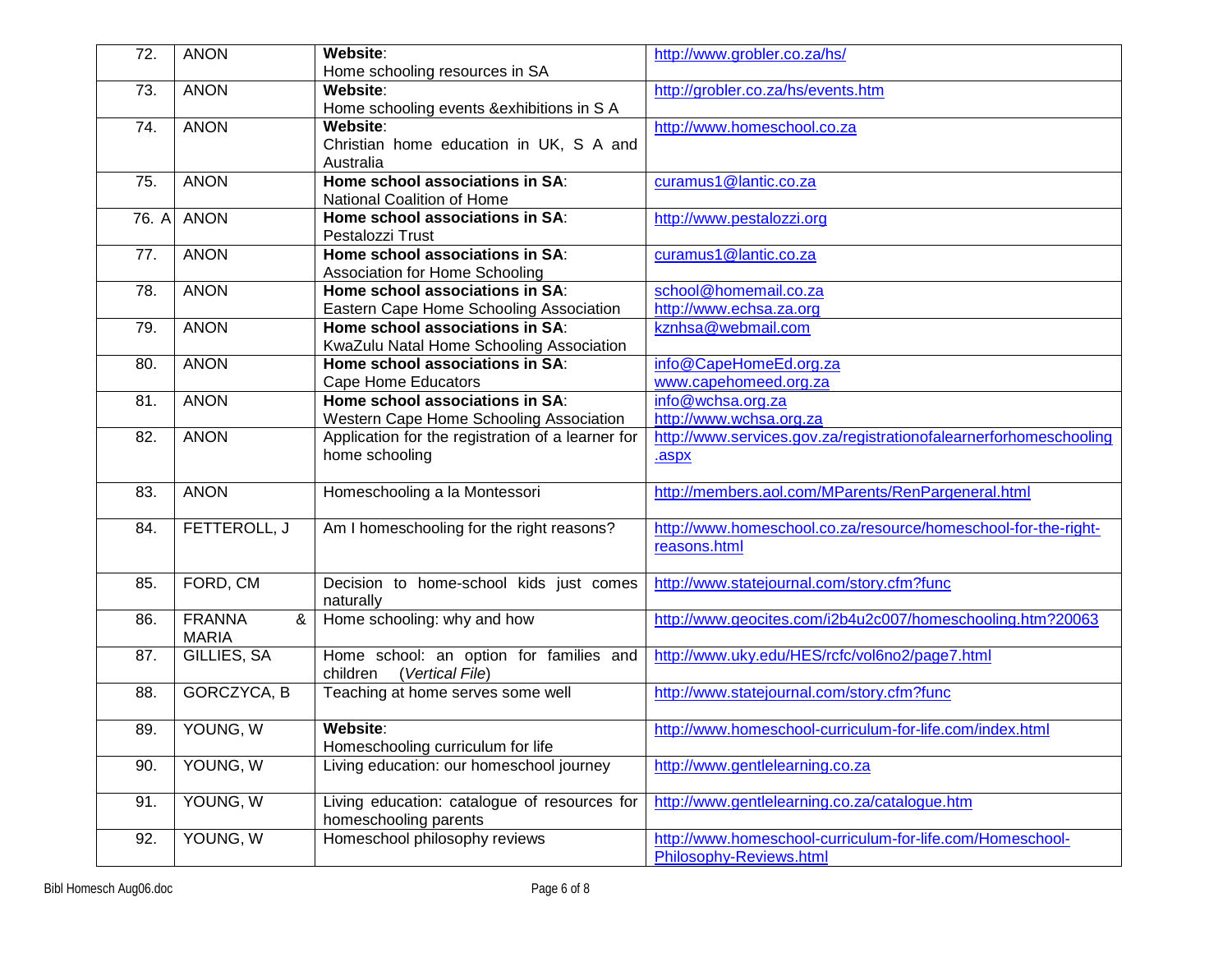| 72.   | <b>ANON</b>                        | Website:<br>Home schooling resources in SA                                  | http://www.grobler.co.za/hs/                                                         |
|-------|------------------------------------|-----------------------------------------------------------------------------|--------------------------------------------------------------------------------------|
| 73.   | <b>ANON</b>                        | Website:<br>Home schooling events & exhibitions in S A                      | http://grobler.co.za/hs/events.htm                                                   |
| 74.   | <b>ANON</b>                        | Website:<br>Christian home education in UK, S A and<br>Australia            | http://www.homeschool.co.za                                                          |
| 75.   | <b>ANON</b>                        | Home school associations in SA:<br>National Coalition of Home               | curamus1@lantic.co.za                                                                |
| 76. A | <b>ANON</b>                        | Home school associations in SA:<br>Pestalozzi Trust                         | http://www.pestalozzi.org                                                            |
| 77.   | <b>ANON</b>                        | Home school associations in SA:<br>Association for Home Schooling           | curamus1@lantic.co.za                                                                |
| 78.   | <b>ANON</b>                        | Home school associations in SA:<br>Eastern Cape Home Schooling Association  | school@homemail.co.za<br>http://www.echsa.za.org                                     |
| 79.   | <b>ANON</b>                        | Home school associations in SA:<br>KwaZulu Natal Home Schooling Association | kznhsa@webmail.com                                                                   |
| 80.   | <b>ANON</b>                        | Home school associations in SA:<br><b>Cape Home Educators</b>               | info@CapeHomeEd.org.za<br>www.capehomeed.org.za                                      |
| 81.   | <b>ANON</b>                        | Home school associations in SA:<br>Western Cape Home Schooling Association  | info@wchsa.org.za<br>http://www.wchsa.org.za                                         |
| 82.   | <b>ANON</b>                        | Application for the registration of a learner for<br>home schooling         | http://www.services.gov.za/registrationofalearnerforhomeschooling<br>.aspx           |
| 83.   | <b>ANON</b>                        | Homeschooling a la Montessori                                               | http://members.aol.com/MParents/RenPargeneral.html                                   |
| 84.   | FETTEROLL, J                       | Am I homeschooling for the right reasons?                                   | http://www.homeschool.co.za/resource/homeschool-for-the-right-<br>reasons.html       |
| 85.   | FORD, CM                           | Decision to home-school kids just comes<br>naturally                        | http://www.statejournal.com/story.cfm?func                                           |
| 86.   | <b>FRANNA</b><br>&<br><b>MARIA</b> | Home schooling: why and how                                                 | http://www.geocites.com/i2b4u2c007/homeschooling.htm?20063                           |
| 87.   | GILLIES, SA                        | Home school: an option for families and<br>(Vertical File)<br>children      | http://www.uky.edu/HES/rcfc/vol6no2/page7.html                                       |
| 88.   | GORCZYCA, B                        | Teaching at home serves some well                                           | http://www.statejournal.com/story.cfm?func                                           |
| 89.   | YOUNG, W                           | Website:<br>Homeschooling curriculum for life                               | http://www.homeschool-curriculum-for-life.com/index.html                             |
| 90.   | YOUNG, W                           | Living education: our homeschool journey                                    | http://www.gentlelearning.co.za                                                      |
| 91.   | YOUNG, W                           | Living education: catalogue of resources for<br>homeschooling parents       | http://www.gentlelearning.co.za/catalogue.htm                                        |
| 92.   | YOUNG, W                           | Homeschool philosophy reviews                                               | http://www.homeschool-curriculum-for-life.com/Homeschool-<br>Philosophy-Reviews.html |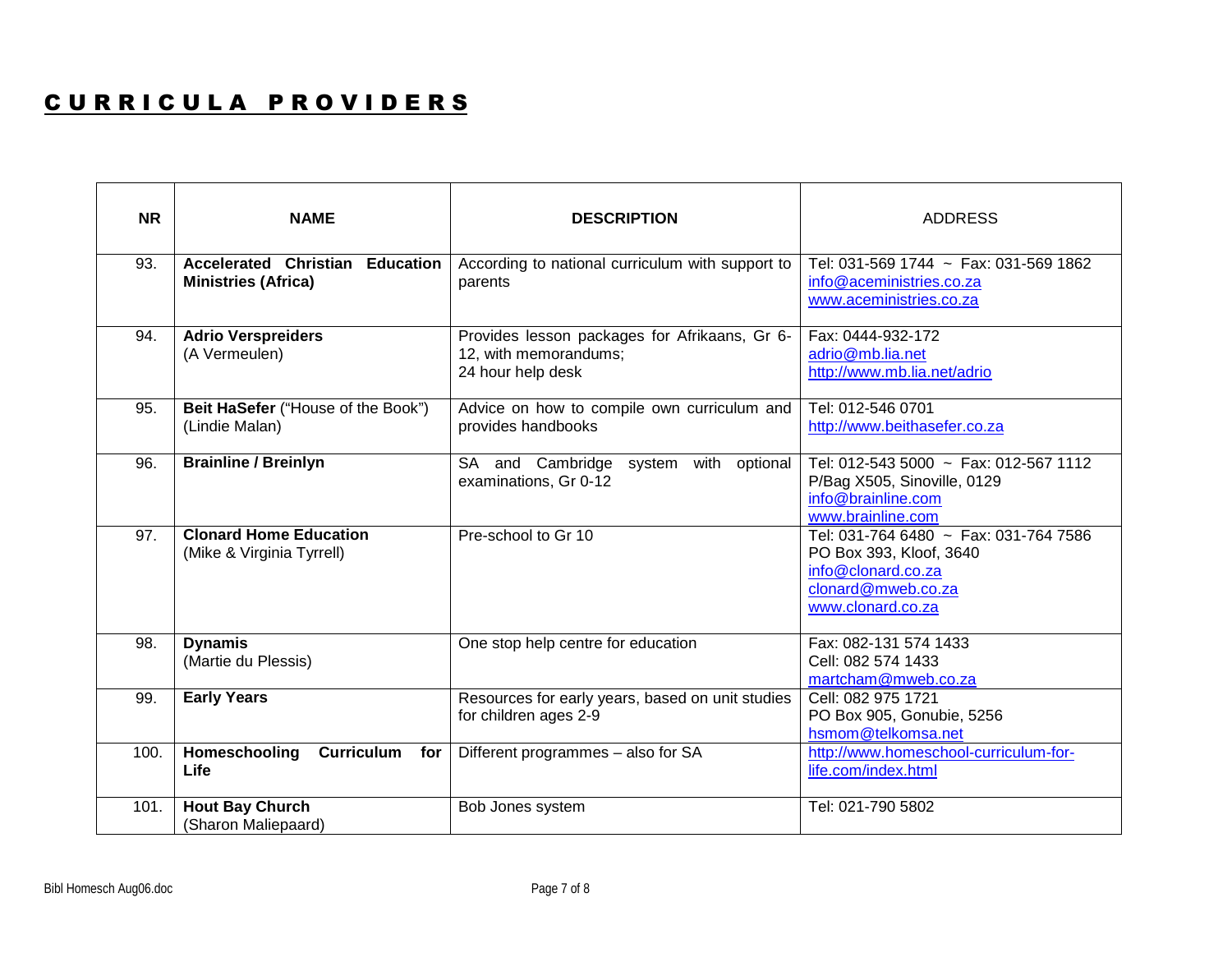#### CURRICULA PROVIDERS

| <b>NR</b> | <b>NAME</b>                                                   | <b>DESCRIPTION</b>                                                                          | <b>ADDRESS</b>                                                                                                                    |
|-----------|---------------------------------------------------------------|---------------------------------------------------------------------------------------------|-----------------------------------------------------------------------------------------------------------------------------------|
| 93.       | Accelerated Christian Education<br><b>Ministries (Africa)</b> | According to national curriculum with support to<br>parents                                 | Tel: 031-569 1744 ~ Fax: 031-569 1862<br>info@aceministries.co.za<br>www.aceministries.co.za                                      |
| 94.       | <b>Adrio Verspreiders</b><br>(A Vermeulen)                    | Provides lesson packages for Afrikaans, Gr 6-<br>12, with memorandums;<br>24 hour help desk | Fax: 0444-932-172<br>adrio@mb.lia.net<br>http://www.mb.lia.net/adrio                                                              |
| 95.       | Beit HaSefer ("House of the Book")<br>(Lindie Malan)          | Advice on how to compile own curriculum and<br>provides handbooks                           | Tel: 012-546 0701<br>http://www.beithasefer.co.za                                                                                 |
| 96.       | <b>Brainline / Breinlyn</b>                                   | SA and Cambridge<br>system with<br>optional<br>examinations, Gr 0-12                        | Tel: 012-543 5000 ~ Fax: 012-567 1112<br>P/Bag X505, Sinoville, 0129<br>info@brainline.com<br>www.brainline.com                   |
| 97.       | <b>Clonard Home Education</b><br>(Mike & Virginia Tyrrell)    | Pre-school to Gr 10                                                                         | Tel: 031-764 6480 ~ Fax: 031-764 7586<br>PO Box 393, Kloof, 3640<br>info@clonard.co.za<br>clonard@mweb.co.za<br>www.clonard.co.za |
| 98.       | <b>Dynamis</b><br>(Martie du Plessis)                         | One stop help centre for education                                                          | Fax: 082-131 574 1433<br>Cell: 082 574 1433<br>martcham@mweb.co.za                                                                |
| 99.       | <b>Early Years</b>                                            | Resources for early years, based on unit studies<br>for children ages 2-9                   | Cell: 082 975 1721<br>PO Box 905, Gonubie, 5256<br>hsmom@telkomsa.net                                                             |
| 100.      | Homeschooling<br><b>Curriculum</b><br>for<br>Life             | Different programmes - also for SA                                                          | http://www.homeschool-curriculum-for-<br>life.com/index.html                                                                      |
| 101.      | <b>Hout Bay Church</b><br>(Sharon Maliepaard)                 | Bob Jones system                                                                            | Tel: 021-790 5802                                                                                                                 |